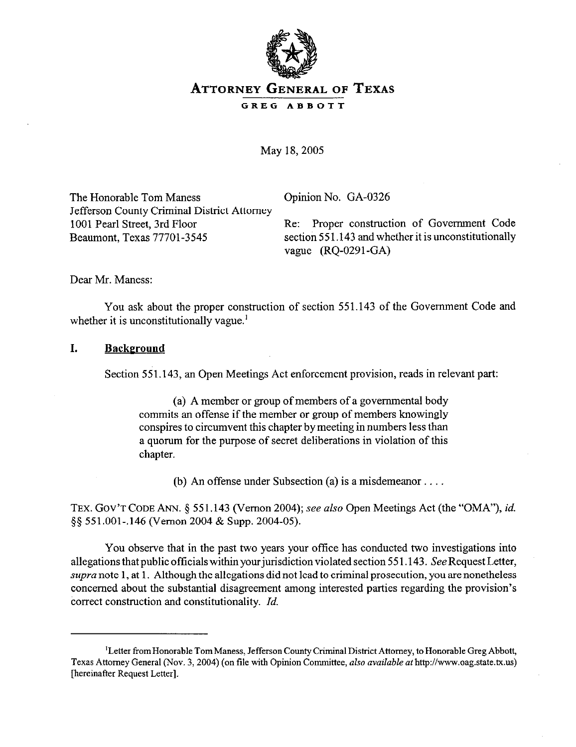

# **ATTORNEY GENERAL OF TEXAS GREG ABBOTT**

May 18,2005

The Honorable Tom Maness Copinion No. GA-0326 Jefferson County Criminal District Attorney

1001 Pearl Street, 3rd Floor Re: Proper construction of Government Code Beaumont, Texas 77701-3545 section 551.143 and whether it is unconstitutionally vague (RQ-0291-GA)

Dear Mr. Maness:

You ask about the proper construction of section 551.143 of the Government Code and whether it is unconstitutionally vague.<sup>1</sup>

### **I. Background**

Section 551.143, an Open Meetings Act enforcement provision, reads in relevant part:

(a) A member or group of members of a governmental body commits an offense if the member or group of members knowingly conspires to circumvent this chapter by meeting in numbers less than a quorum for the purpose of secret deliberations in violation of this chapter.

(b) An offense under Subsection (a) is a misdemeanor....

TEX. GOV'T CODE ANN. § 551.143 (Vernon 2004); see also Open Meetings Act (the "OMA"), id. 55 551.001-.146 (Vernon 2004 & Supp. 2004-05).

You observe that in the past two years your office has conducted two investigations into allegations that public officials within your jurisdiction violated section 551.143. See Request Letter, supra note 1, at 1. Although the allegations did not lead to criminal prosecution, you are nonetheless concerned about the substantial disagreement among interested parties regarding the provision's correct construction and constitutionality. *Id.* 

<sup>&</sup>lt;sup>I</sup>Letter from Honorable Tom Maness, Jefferson County Criminal District Attorney, to Honorable Greg Abbott, Texas Attorney General (Nov. 3, 2004) (on file with Opinion Committee, also *available at* http://www.oag.state.tx.us) [hereinafter Request Letter].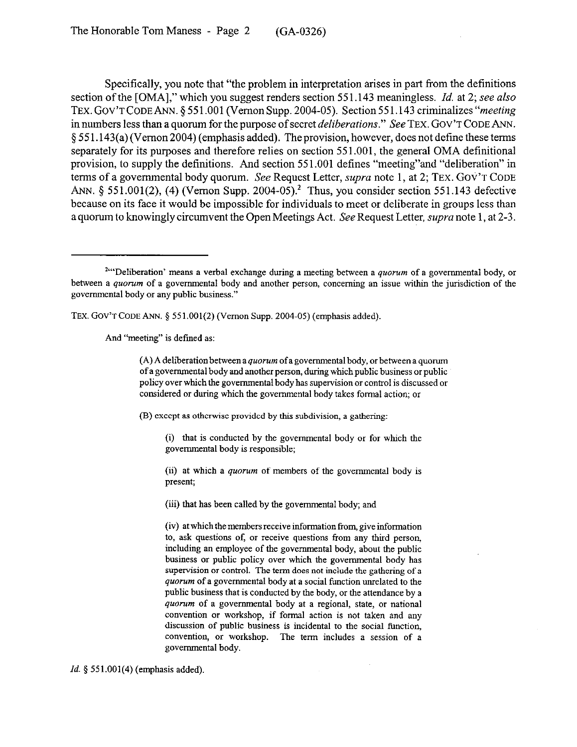Specifically, you note that "the problem in interpretation arises in part from the definitions section of the [OMA]," which you suggest renders section 551.143 meaningless. *Id.* at 2; see also TEX. GOV'T CODE ANN. § 551.001 (Vernon Supp. 2004-05). Section 551.143 criminalizes "meeting in numbers less than a quorum for the purpose of secret *deliberations.*" See TEX. GOV'T CODE ANN. 5 55 1.143(a) (Vernon 2004) (emphasis added). The provision, however, does not define these terms separately for its purposes and therefore relies on section 551.001, the general OMA definitional provision, to supply the definitions. And section 551.001 defines "meeting"and "deliberation" in terms of a governmental body quorum. See Request Letter, *supra* note 1, at 2; TEX. GOV'T CODE ANN.  $\S$  551.001(2), (4) (Vernon Supp. 2004-05).<sup>2</sup> Thus, you consider section 551.143 defective because on its face it would be impossible for individuals to meet or deliberate in groups less than a quorum to knowingly circumvent the Open Meetings Act. See Request Letter, *supra* note 1, at 2-3.

TEX. GOV'T CODE ANN. § 551.001(2) (Vernon Supp. 2004-05) (emphasis added).

And "meeting" is defmed as:

 $(A)$  A deliberation between a *quorum* of a governmental body, or between a quorum of a governmental body and another person, during which public business or public policy over which the governmental body has supervision or control is discussed or considered or during which the governmental body takes formal action; or

(B) except as otherwise provided by this subdivision, a gathering:

(i) that is conducted by the governmental body or for which the governmental body is responsible;

(ii) at which a *quorum* of members of the governmental body is present;

(iii) that has been called by the governmental body; and

(iv) at which the members receive information from, give information to, ask questions of, or receive questions from any third person, including an employee of the governmental body, about the public business or public policy over which the governmental body has supervision or control. The term does not include the gathering of a quorum of a governmental body at a social function unrelated to the public business that is conducted by the body, or the attendance by a quorum of a governmental body at a regional, state, or national convention or workshop, if formal action is not taken and any discussion of public business is incidental to the social function, convention, or workshop. The term includes a session of a governmental body.

*Id.* § 551.001(4) (emphasis added).

<sup>&</sup>lt;sup>211</sup>'Deliberation' means a verbal exchange during a meeting between a quorum of a governmental body, or between a quorum of a governmental body and another person, concerning an issue within the jurisdiction of the governmental body or any public business."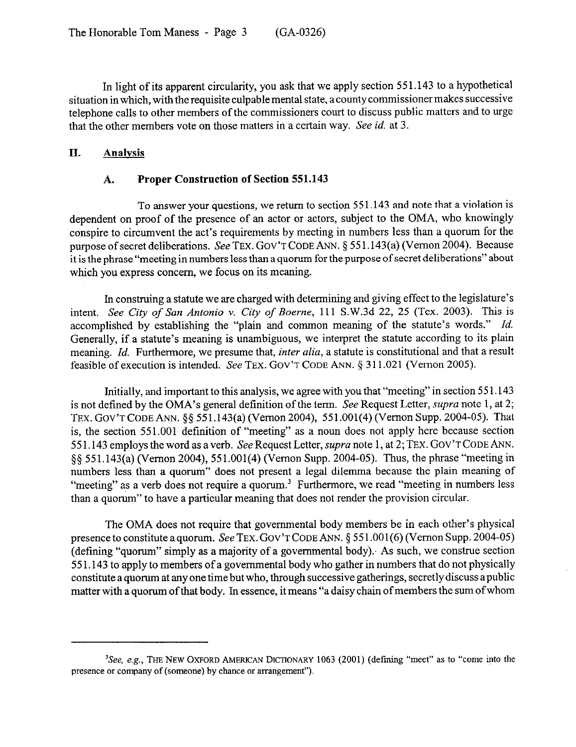In light of its apparent circularity, you ask that we apply section 551.143 to a hypothetical situation in which, with the requisite culpable mental state, a county commissioner makes successive telephone calls to other members of the commissioners court to discuss public matters and to urge that the other members vote on those matters in a certain way. See *id.* at 3.

### **II. Analvsis**

### **A. Proper Construction of Section 551.143**

To answer your questions, we return to section 55 1.143 and note that a violation is dependent on proof of the presence of an actor or actors, subject to the OMA, who knowingly conspire to circumvent the act's requirements by meeting in numbers less than a quorum for the purpose of secret deliberations. See **TEX. GOV'T CODE** ANN. 5 55 1.143(a) (Vernon 2004). Because it is the phrase "meeting in numbers less than a quorum for the purpose of secret deliberations" about which you express concern, we focus on its meaning.

In construing a statute we are charged with determining and giving effect to the legislature's intent. See City *of* San *Antonio* v. *City of Boerne,* 111 S.W.3d 22, 25 (Tex. 2003). This is accomplished by establishing the "plain and common meaning of the statute's words." *Id.*  Generally, if a statute's meaning is unambiguous, we interpret the statute according to its plain meaning. *Id.* Furthermore, we presume that, *inter alia*, a statute is constitutional and that a result feasible of execution is intended. See **TEX. GOV'T CODE** ANN. 5 311.021 (Vernon 2005).

Initially, and important to this analysis, we agree with you that "meeting" in section 551.143 is not defined by the OMA's general definition of the term. See Request Letter, supra note 1, at 2; **TEX. GOV'TCODE** ANN. \$5 551.143(a) (Vernon 2004), 551.001(4) (Vernon Supp. 2004-05). That is, the section 551.001 definition of "meeting" as a noun does not apply here because section 55 1.143 employs the word as a verb. See Request Letter, supra note 1, at 2; **TEX. GOV'T CODE ANN.**  \$5 551.143(a) (Vernon 2004), 551.001(4) (Vernon Supp. 2004-05). Thus, the phrase "meeting in numbers less than a quorum" does not present a legal dilemma because the plain meaning of "meeting" as a verb does not require a quorum.<sup>3</sup> Furthermore, we read "meeting in numbers less than a quorum" to have a particular meaning that does not render the provision circular.

The OMA does not require that governmental body members be in each other's physical presence to constitute a quorum. See **TEX. GOV'T CODE** ANN. 4 55 l.OOl(6) (Vernon Supp. 2004-05) (defining "quorum" simply as a majority of a governmental body). As such, we construe section 55 1.143 to apply to members of a governmental body who gather in numbers that do not physically constitute a quorum at any one time but who, through successive gatherings, secretly discuss a public matter with a quorum of that body. In essence, it means "a daisy chain of members the sum of whom

 ${}^{3}$ See, e.g., THE NEW OXFORD AMERICAN DICTIONARY 1063 (2001) (defining "meet" as to "come into the presence or company of (someone) by chance or arrangement").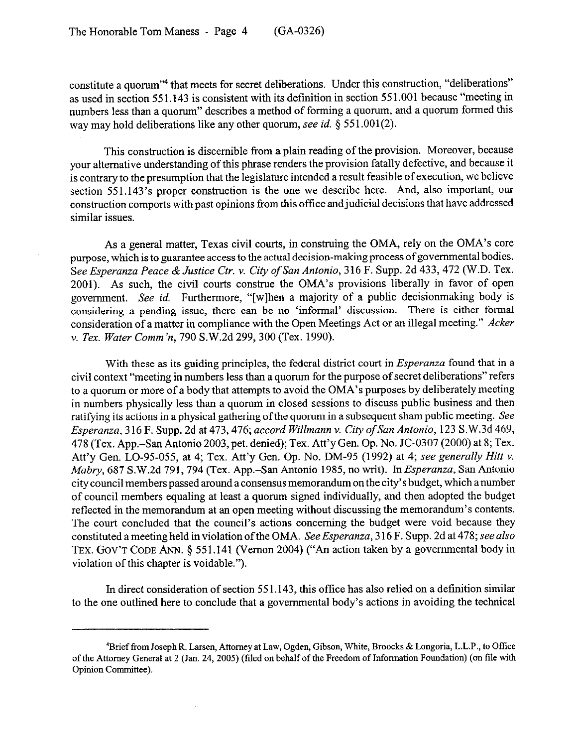constitute a quorum<sup>"4</sup> that meets for secret deliberations. Under this construction, "deliberations" as used in section 55 1.143 is consistent with its definition in section 55 1.001 because "meeting in numbers less than a quorum" describes a method of forming a quorum, and a quorum formed this way may hold deliberations like any other quorum, see *id.* § 551.001(2).

This construction is discernible from a plain reading of the provision. Moreover, because your alternative understanding of this phrase renders the provision fatally defective, and because it is contrary to the presumption that the legislature intended a result feasible of execution, we believe section 551.143's proper construction is the one we describe here. And, also important, our construction comports with past opinions from this office and judicial decisions that have addressed similar issues.

As a general matter, Texas civil courts, in construing the OMA, rely on the OMA's core purpose, which is to guarantee access to the actual decision-making process of governmental bodies. *See Esperanza Peace &Justice Ctr. v. City of San Antonio,* 316 F. Supp. 2d 433,472 (W.D. Tex. 2001). As such, the civil courts construe the OMA's provisions liberally in favor of open government. See id. Furthermore, "[w]hen a majority of a public decisionmaking body is considering a pending issue, there can be no 'informal' discussion. There is either formal consideration of a matter in compliance with the Open Meetings Act or an illegal meeting." *Acker v. Tex. Water Comm'n, 790* S.W.2d 299,300 (Tex. 1990).

With these as its guiding principles, the federal district *court* in *Esperanza* found that in a civil context "meeting in numbers less than a quorum for the purpose of secret deliberations" refers to a quorum or more of a body that attempts to avoid the OMA's purposes by deliberately meeting in numbers physically less than a quorum in closed sessions to discuss public business and then ratifying its actions in a physical gathering of the quorum in a subsequent sham public meeting. See *Esperanza, 3* 16 F. Supp. *2d* at *473,476; accord Willmann v. City of San Antonio,* 123 S.W.3d 469, 478 (Tex. App.-San Antonio 2003, pet. denied); Tex. Att'y Gen. Op. No. JC-0307 (2000) at 8; Tex. Att'y Gen. LO-95-055, at 4; Tex. Att'y Gen. *Op. No.* DM-95 *(1992)* at *4; see generally Hitt v. Mabry,* 687 S.W.2d 791,794 (Tex. App.-San Antonio 1985, no writ). *In Esperanza,* San Antonio city council members passed around a consensus memorandum on the city's budget, which a number of council members equaling at least a quorum signed individually, and then adopted the budget reflected in the memorandum at an open meeting without discussing the memorandum's contents. The court concluded that the council's actions concerning the budget were void because they constituted a meeting held in violation of the OMA. *See Esperanza, 3* 16 F. Supp. 2d at 478; see *also*  **TEX. GOV'T CODE ANN.** § 551.141 (Vernon 2004) ("An action taken by a governmental body in violation of this chapter is voidable.").

In direct consideration of section 551.143, this office has also relied on a definition similar to the one outlined here to conclude that a governmental body's actions in avoiding the technical

<sup>4</sup>Brief from Joseph R. Larsen, Attorney at Law, Ogden, Gibson, White, Broocks & Longoria, L.L.P., to Office of the Attorney General at 2 (Jan. 24,2005) (tiled on behalf of the Freedom of Information Foundation) (on tile with Opinion Committee).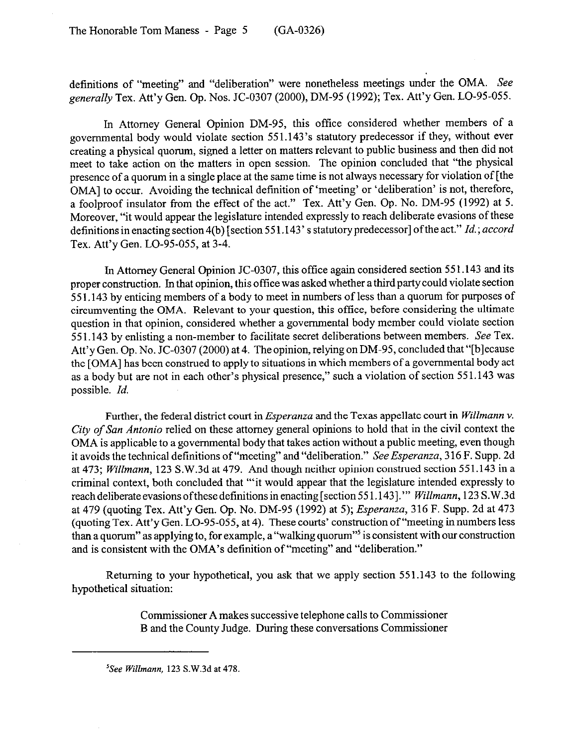definitions of "meeting" and "deliberation" were nonetheless meetings under the OMA. See *generally* Tex. Att'y Gen. Op. Nos. JC-0307 (2000), DM-95 (1992); Tex. Att'y Gen. LO-95-055.

In Attorney General Opinion DM-95, this office considered whether members of a governmental body would violate section 551.143's statutory predecessor if they, without ever creating a physical quorum, signed a letter on matters relevant to public business and then did not meet to take action on the matters in open session. The opinion concluded that "the physical presence of a quorum in a single place at the same time is not always necessary for violation of [the OMA] to occur. Avoiding the technical definition of 'meeting' or 'deliberation' is not, therefore, a foolproof insulator from the effect of the act." Tex. Att'y Gen. Op. No. DM-95 (1992) at 5. Moreover, "it would appear the legislature intended expressly to reach deliberate evasions of these definitions in enacting section4(b) [section 55 1.143' s statutory predecessor] ofthe act." *Id.; accord*  Tex. Att'y Gen. LO-95-055, at 3-4.

In Attorney General Opinion JC-0307, this office again considered section 551.143 and its proper construction. In that opinion, this office was asked whether a third party could violate section 551.143 by enticing members of a body to meet in numbers of less than a quorum for purposes of circumventing the OMA. Relevant to your question, this office, before considering the ultimate question in that opinion, considered whether a governmental body member could violate section 551.143 by enlisting a non-member to facilitate secret deliberations between members. See Tex. Att'y Gen. Op. No. JC-0307 (2000) at 4. The opinion, relying on DM-95, concluded that "[blecause the [OMA] has been construed to apply to situations in which members of a governmental body act as a body but are not in each other's physical presence," such a violation of section 551.143 was possible. *Id.* 

Further, the federal district *court* in *Esperanza* and the Texas appellate *court* in *Willmann v. City of San Antonio* relied on these attorney general opinions to hold that in the civil context the OMA is applicable to a governmental body that takes action without a public meeting, even though it avoids the technical definitions of "meeting" and "deliberation." *See Esperanza,* 316 F. Supp. 2d at *473; Willmann,* 123 S.W.3d at 479. And though neither opinion construed section 551.143 in a criminal context, both concluded that "'it would appear that the legislature intended expressly to reach deliberate evasions of these definitions in enacting [section 551.143]." *Willmann*, 123 S.W.3d at 479 (quoting Tex. Att'y Gen. *Op. No.* DM-95 (1992) at *5); Esperanza,* 316 F. Supp. 2d at 473 (quoting Tex. Att'y Gen. LO-95-055, at 4). These courts' construction of "meeting in numbers less than a quorum" as applying to, for example, a "walking quorum"<sup>5</sup> is consistent with our construction and is consistent with the OMA's definition of "meeting" and "deliberation."

Returning to your hypothetical, you ask that we apply section 551.143 to the following hypothetical situation:

> Commissioner A makes successive telephone calls to Commissioner B and the County Judge. During these conversations Commissioner

*<sup>&#</sup>x27;See Willmann, 123* S.W.3d at 418.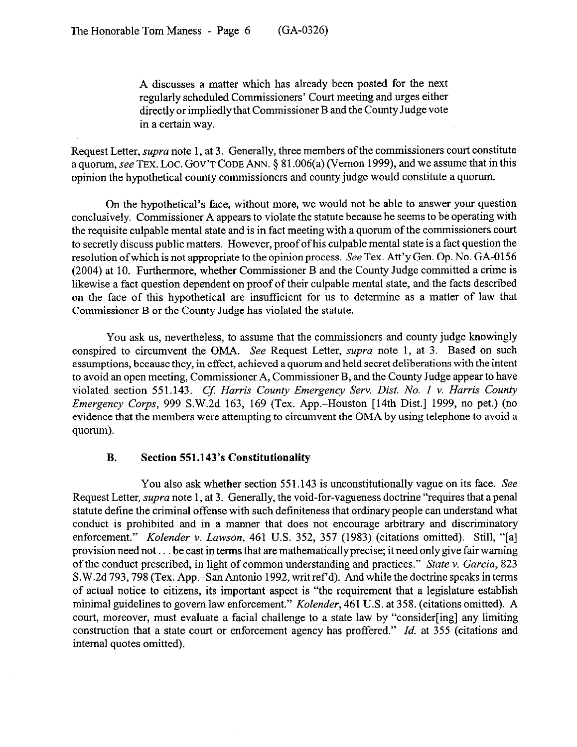A discusses a matter which has already been posted for the next regularly scheduled Commissioners' Court meeting and urges either directly or impliedly that Commissioner B and the County Judge vote in a certain way.

Request Letter, *supra* note 1, at 3. Generally, three members of the commissioners court constitute a quorum, see TEX. LOC. GOV'T CODE ANN. § 81.006(a) (Vernon 1999), and we assume that in this opinion the hypothetical county commissioners and county judge would constitute a quorum.

On the hypothetical's face, without more, we would not be able to answer your question conclusively. Commissioner A appears to violate the statute because he seems to be operating with the requisite culpable mental state and is in fact meeting with a quorum of the commissioners court to secretly discuss public matters. However, proof ofhis culpable mental state is a fact question the resolution of which is not appropriate to the opinion process. See Tex. Att'y Gen. Op. No. GA-0156 (2004) at 10. Furthermore, whether Commissioner B and the County Judge committed a crime is likewise a fact question dependent on proof of their culpable mental state, and the facts described on the face of this hypothetical are insufficient for us to determine as a matter of law that Commissioner B or the County Judge has violated the statute.

You ask us, nevertheless, to assume that the commissioners and county judge knowingly conspired to circumvent the OMA. See Request Letter, *supra* note 1, at 3. Based on such assumptions, because they, in effect, achieved a quorum and held secret deliberations with the intent to avoid an open meeting, Commissioner A, Commissioner B, and the County Judge appear to have violated section 551.143. *Cf. Harris County Emergency Serv. Dist. No. 1 v. Harris County Emergency Corps,* 999 S.W.2d 163, 169 (Tex. App.-Houston [14th Dist.] 1999, no pet.) (no evidence that the members were attempting to circumvent the OMA by using telephone to avoid a quorum).

## **B. Section 551.143's Constitutionality**

You also ask whether section 551.143 is unconstitutionally vague on its face. See Request Letter, *supra* note 1, at 3. Generally, the void-for-vagueness doctrine "requires that a penal statute define the criminal offense with such definiteness that ordinary people can understand what conduct is prohibited and in a manner that does not encourage arbitrary and discriminatory enforcement." *Kolender v. Lawson,* 461 U.S. 352, 357 (1983) (citations omitted). Still, "[a] provision need not  $\dots$  be cast in terms that are mathematically precise; it need only give fair warning of the conduct prescribed, in light of common understanding and practices." *State v. Garcia, 823*  S.W.2d 793,798 (Tex. App.-San Antonio 1992, writ ref d). And while the doctrine speaks in terms of actual notice to citizens, its important aspect is "the requirement that a legislature establish minimal guidelines to govern law enforcement." *Kolender,* 461 U.S. at 358. (citations omitted). A court, moreover, must evaluate a facial challenge to a state law by "consider[ing] any limiting construction that a state court or enforcement agency has proffered." *Id.* at 355 (citations and internal quotes omitted).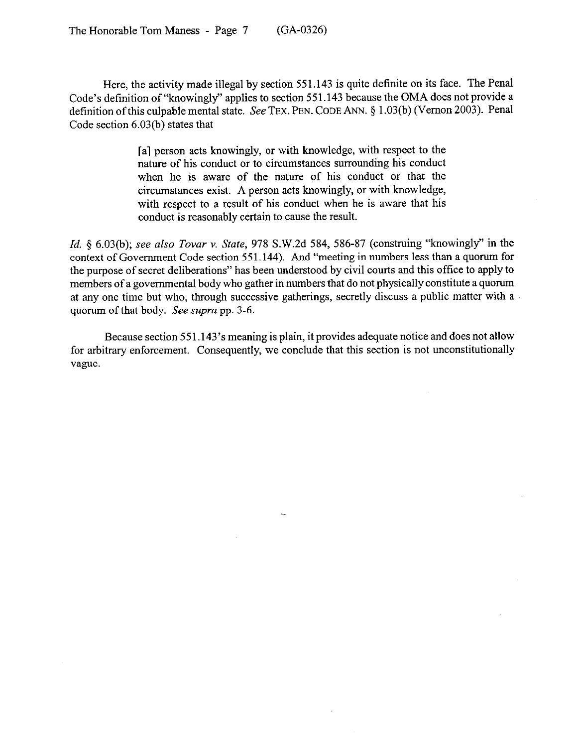Here, the activity made illegal by section 551.143 is quite definite on its face. The Penal Code's definition of "knowingly" applies to section 551.143 because the OMA does not provide a definition of this culpable mental state. See TEX. PEN. CODE ANN. § 1.03(b) (Vernon 2003). Penal Code section 6.03(b) states that

> [a] person acts knowingly, or with knowledge, with respect to the nature of his conduct or to circumstances surrounding his conduct when he is aware of the nature of his conduct or that the circumstances exist. A person acts knowingly, or with knowledge, with respect to a result of his conduct when he is aware that his conduct is reasonably certain to cause the result.

*Id. 5* 6.03(b); see *also Tovar v. State,* 978 S.W.2d 584, 586-87 (construing "knowingly" in the context of Government Code section 55 1.144). And "meeting in numbers less than a quorum for the purpose of secret deliberations" has been understood by civil courts and this office to apply to members of a governmental body who gather in numbers that do not physically constitute a quorum at any one time but who, through successive gatherings, secretly discuss a public matter with a quorum of that body. See *supra* pp. 3-6.

Because section 551.143's meaning is plain, it provides adequate notice and does not allow for arbitrary enforcement. Consequently, we conclude that this section is not unconstitutionally vague.